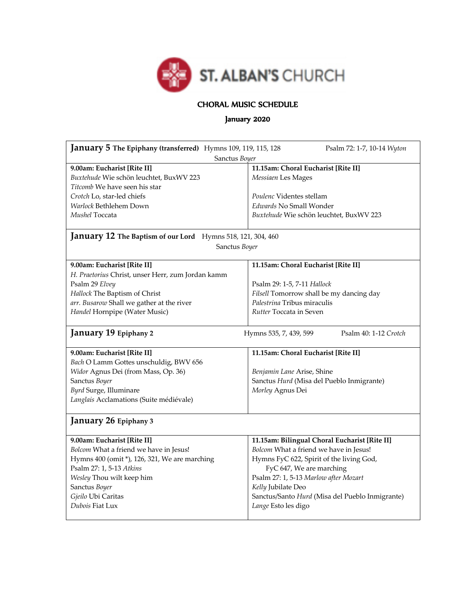

## CHORAL MUSIC SCHEDULE

## January 2020

| January 5 The Epiphany (transferred) Hymns 109, 119, 115, 128<br>Sanctus Boyer                                                                                                                                                                                            | Psalm 72: 1-7, 10-14 Wyton                                                                                                                                                                                                                                                                               |  |  |  |
|---------------------------------------------------------------------------------------------------------------------------------------------------------------------------------------------------------------------------------------------------------------------------|----------------------------------------------------------------------------------------------------------------------------------------------------------------------------------------------------------------------------------------------------------------------------------------------------------|--|--|--|
| 9.00am: Eucharist [Rite II]<br>Buxtehude Wie schön leuchtet, BuxWV 223<br>Titcomb We have seen his star<br>Crotch Lo, star-led chiefs<br>Warlock Bethlehem Down<br>Mushel Toccata                                                                                         | 11.15am: Choral Eucharist [Rite II]<br>Messiaen Les Mages<br>Poulenc Videntes stellam<br>Edwards No Small Wonder<br>Buxtehude Wie schön leuchtet, BuxWV 223                                                                                                                                              |  |  |  |
| <b>January 12 The Baptism of our Lord</b> Hymns 518, 121, 304, 460<br>Sanctus Boyer                                                                                                                                                                                       |                                                                                                                                                                                                                                                                                                          |  |  |  |
| 9.00am: Eucharist [Rite II]<br>H. Praetorius Christ, unser Herr, zum Jordan kamm<br>Psalm 29 Elvey<br>Hallock The Baptism of Christ<br>arr. Busarow Shall we gather at the river<br>Handel Hornpipe (Water Music)<br>January 19 Epiphany 2<br>9.00am: Eucharist [Rite II] | 11.15am: Choral Eucharist [Rite II]<br>Psalm 29: 1-5, 7-11 Hallock<br>Filsell Tomorrow shall be my dancing day<br>Palestrina Tribus miraculis<br>Rutter Toccata in Seven<br>Psalm 40: 1-12 Crotch<br>Hymns 535, 7, 439, 599<br>11.15am: Choral Eucharist [Rite II]                                       |  |  |  |
| Bach O Lamm Gottes unschuldig, BWV 656<br>Widor Agnus Dei (from Mass, Op. 36)<br>Sanctus Boyer<br>Byrd Surge, Illuminare<br>Langlais Acclamations (Suite médiévale)<br>January 26 Epiphany 3                                                                              | Benjamin Lane Arise, Shine<br>Sanctus Hurd (Misa del Pueblo Inmigrante)<br>Morley Agnus Dei                                                                                                                                                                                                              |  |  |  |
| 9.00am: Eucharist [Rite II]<br>Bolcom What a friend we have in Jesus!<br>Hymns 400 (omit *), 126, 321, We are marching<br>Psalm 27: 1, 5-13 Atkins<br>Wesley Thou wilt keep him<br>Sanctus Boyer<br>Gjeilo Ubi Caritas<br>Dubois Fiat Lux                                 | 11.15am: Bilingual Choral Eucharist [Rite II]<br>Bolcom What a friend we have in Jesus!<br>Hymns FyC 622, Spirit of the living God,<br>FyC 647, We are marching<br>Psalm 27: 1, 5-13 Marlow after Mozart<br>Kelly Jubilate Deo<br>Sanctus/Santo Hurd (Misa del Pueblo Inmigrante)<br>Lange Esto les digo |  |  |  |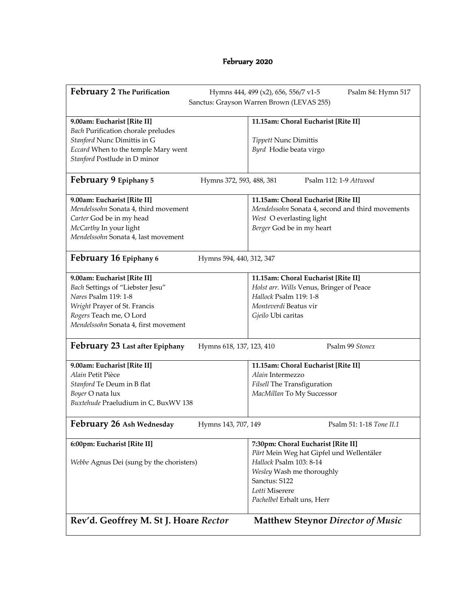## February 2020

| February 2 The Purification                              | Hymns 444, 499 (x2), 656, 556/7 v1-5<br>Psalm 84: Hymn 517         |
|----------------------------------------------------------|--------------------------------------------------------------------|
|                                                          | Sanctus: Grayson Warren Brown (LEVAS 255)                          |
|                                                          |                                                                    |
| 9.00am: Eucharist [Rite II]                              | 11.15am: Choral Eucharist [Rite II]                                |
| <b>Bach Purification chorale preludes</b>                |                                                                    |
| Stanford Nunc Dimittis in G                              | Tippett Nunc Dimittis                                              |
| Eccard When to the temple Mary went                      | Byrd Hodie beata virgo                                             |
| Stanford Postlude in D minor                             |                                                                    |
|                                                          |                                                                    |
| February 9 Epiphany 5                                    | Psalm 112: 1-9 Attwood<br>Hymns 372, 593, 488, 381                 |
|                                                          |                                                                    |
| 9.00am: Eucharist [Rite II]                              | 11.15am: Choral Eucharist [Rite II]                                |
| Mendelssohn Sonata 4, third movement                     | Mendelssohn Sonata 4, second and third movements                   |
| Carter God be in my head                                 | West O everlasting light                                           |
| McCarthy In your light                                   | Berger God be in my heart                                          |
| Mendelssohn Sonata 4, last movement                      |                                                                    |
|                                                          |                                                                    |
| February 16 Epiphany 6                                   | Hymns 594, 440, 312, 347                                           |
|                                                          |                                                                    |
| 9.00am: Eucharist [Rite II]                              | 11.15am: Choral Eucharist [Rite II]                                |
| Bach Settings of "Liebster Jesu"<br>Nares Psalm 119: 1-8 | Holst arr. Wills Venus, Bringer of Peace<br>Hallock Psalm 119: 1-8 |
|                                                          |                                                                    |
| Wright Prayer of St. Francis                             | Monteverdi Beatus vir                                              |
| Rogers Teach me, O Lord                                  | Gjeilo Ubi caritas                                                 |
| Mendelssohn Sonata 4, first movement                     |                                                                    |
| February 23 Last after Epiphany                          | Psalm 99 Stonex<br>Hymns 618, 137, 123, 410                        |
|                                                          |                                                                    |
| 9.00am: Eucharist [Rite II]                              | 11.15am: Choral Eucharist [Rite II]                                |
| Alain Petit Pièce                                        | Alain Intermezzo                                                   |
| Stanford Te Deum in B flat                               | Filsell The Transfiguration                                        |
| Boyer O nata lux                                         | MacMillan To My Successor                                          |
| Buxtehude Praeludium in C, BuxWV 138                     |                                                                    |
| February 26 Ash Wednesday                                | Hymns 143, 707, 149<br>Psalm 51: 1-18 Tone II.1                    |
|                                                          |                                                                    |
| 6:00pm: Eucharist [Rite II]                              | 7:30pm: Choral Eucharist [Rite II]                                 |
|                                                          | Pärt Mein Weg hat Gipfel und Wellentäler                           |
| Webbe Agnus Dei (sung by the choristers)                 | Hallock Psalm 103: 8-14                                            |
|                                                          | Wesley Wash me thoroughly                                          |
|                                                          | Sanctus: S122                                                      |
|                                                          | Lotti Miserere                                                     |
|                                                          | Pachelbel Erhalt uns, Herr                                         |
|                                                          |                                                                    |
| Rev'd. Geoffrey M. St J. Hoare Rector                    | <b>Matthew Steynor Director of Music</b>                           |
|                                                          |                                                                    |